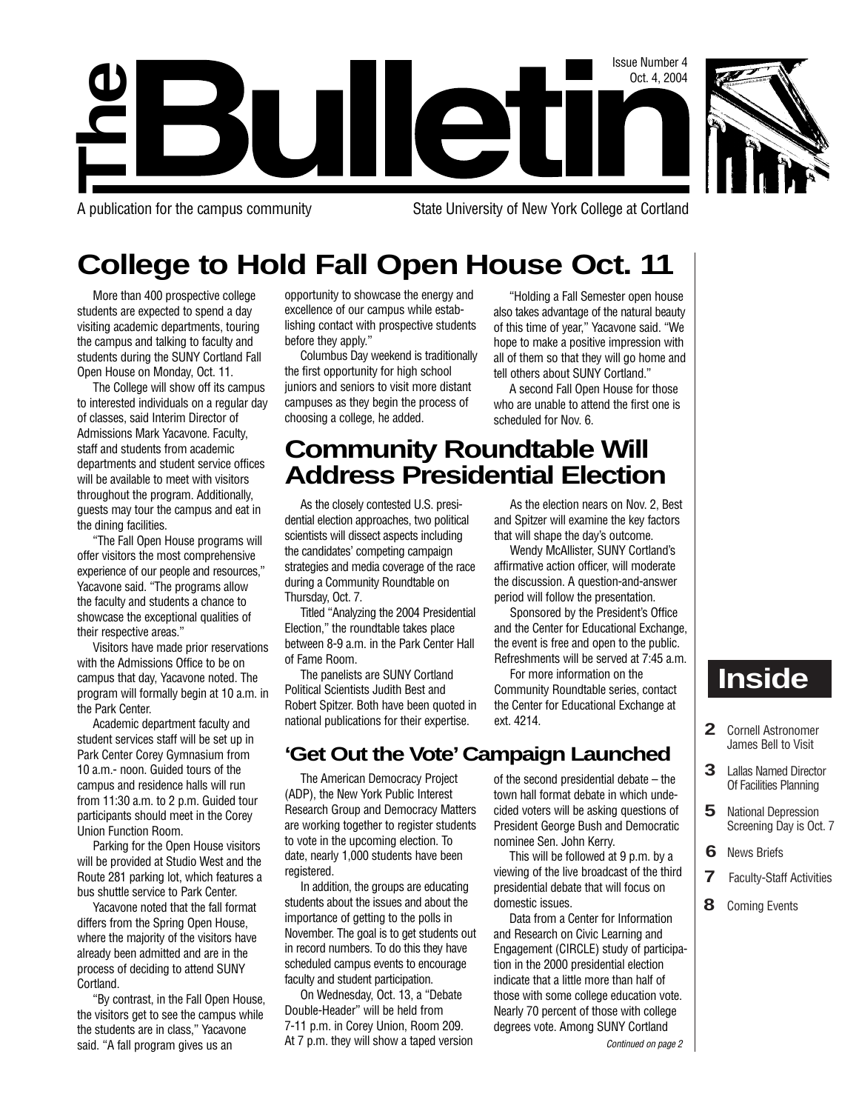

**The**

A publication for the campus community State University of New York College at Cortland

# **College to Hold Fall Open House Oct. 11**

ullet

More than 400 prospective college students are expected to spend a day visiting academic departments, touring the campus and talking to faculty and students during the SUNY Cortland Fall Open House on Monday, Oct. 11.

The College will show off its campus to interested individuals on a regular day of classes, said Interim Director of Admissions Mark Yacavone. Faculty, staff and students from academic departments and student service offices will be available to meet with visitors throughout the program. Additionally, guests may tour the campus and eat in the dining facilities.

"The Fall Open House programs will offer visitors the most comprehensive experience of our people and resources," Yacavone said. "The programs allow the faculty and students a chance to showcase the exceptional qualities of their respective areas."

Visitors have made prior reservations with the Admissions Office to be on campus that day, Yacavone noted. The program will formally begin at 10 a.m. in the Park Center.

Academic department faculty and student services staff will be set up in Park Center Corey Gymnasium from 10 a.m.- noon. Guided tours of the campus and residence halls will run from 11:30 a.m. to 2 p.m. Guided tour participants should meet in the Corey Union Function Room.

Parking for the Open House visitors will be provided at Studio West and the Route 281 parking lot, which features a bus shuttle service to Park Center.

Yacavone noted that the fall format differs from the Spring Open House, where the majority of the visitors have already been admitted and are in the process of deciding to attend SUNY Cortland.

"By contrast, in the Fall Open House, the visitors get to see the campus while the students are in class," Yacavone said. "A fall program gives us an

opportunity to showcase the energy and excellence of our campus while establishing contact with prospective students before they apply."

Columbus Day weekend is traditionally the first opportunity for high school juniors and seniors to visit more distant campuses as they begin the process of choosing a college, he added.

"Holding a Fall Semester open house also takes advantage of the natural beauty of this time of year," Yacavone said. "We hope to make a positive impression with all of them so that they will go home and tell others about SUNY Cortland."

Issue Number 4 Oct. 4, 2004

A second Fall Open House for those who are unable to attend the first one is scheduled for Nov. 6.

As the election nears on Nov. 2, Best and Spitzer will examine the key factors that will shape the day's outcome. Wendy McAllister, SUNY Cortland's affirmative action officer, will moderate the discussion. A question-and-answer period will follow the presentation. Sponsored by the President's Office and the Center for Educational Exchange, the event is free and open to the public. Refreshments will be served at 7:45 a.m. For more information on the Community Roundtable series, contact the Center for Educational Exchange at

# **Community Roundtable Will Address Presidential Election**

As the closely contested U.S. presidential election approaches, two political scientists will dissect aspects including the candidates' competing campaign strategies and media coverage of the race during a Community Roundtable on Thursday, Oct. 7.

Titled "Analyzing the 2004 Presidential Election," the roundtable takes place between 8-9 a.m. in the Park Center Hall of Fame Room.

The panelists are SUNY Cortland Political Scientists Judith Best and Robert Spitzer. Both have been quoted in national publications for their expertise.

**'Get Out the Vote'Campaign Launched**

ext. 4214.

The American Democracy Project (ADP), the New York Public Interest Research Group and Democracy Matters are working together to register students to vote in the upcoming election. To date, nearly 1,000 students have been registered.

In addition, the groups are educating students about the issues and about the importance of getting to the polls in November. The goal is to get students out in record numbers. To do this they have scheduled campus events to encourage faculty and student participation.

On Wednesday, Oct. 13, a "Debate Double-Header" will be held from 7-11 p.m. in Corey Union, Room 209. At 7 p.m. they will show a taped version of the second presidential debate – the town hall format debate in which undecided voters will be asking questions of President George Bush and Democratic nominee Sen. John Kerry.

This will be followed at 9 p.m. by a viewing of the live broadcast of the third presidential debate that will focus on domestic issues.

Data from a Center for Information and Research on Civic Learning and Engagement (CIRCLE) study of participation in the 2000 presidential election indicate that a little more than half of those with some college education vote. Nearly 70 percent of those with college degrees vote. Among SUNY Cortland

Continued on page 2

# **Inside**

- **2** Cornell Astronomer James Bell to Visit
- **3** Lallas Named Director Of Facilities Planning
- **5** National Depression Screening Day is Oct. 7
- **6** News Briefs
- **7** Faculty-Staff Activities
- **8** Coming Events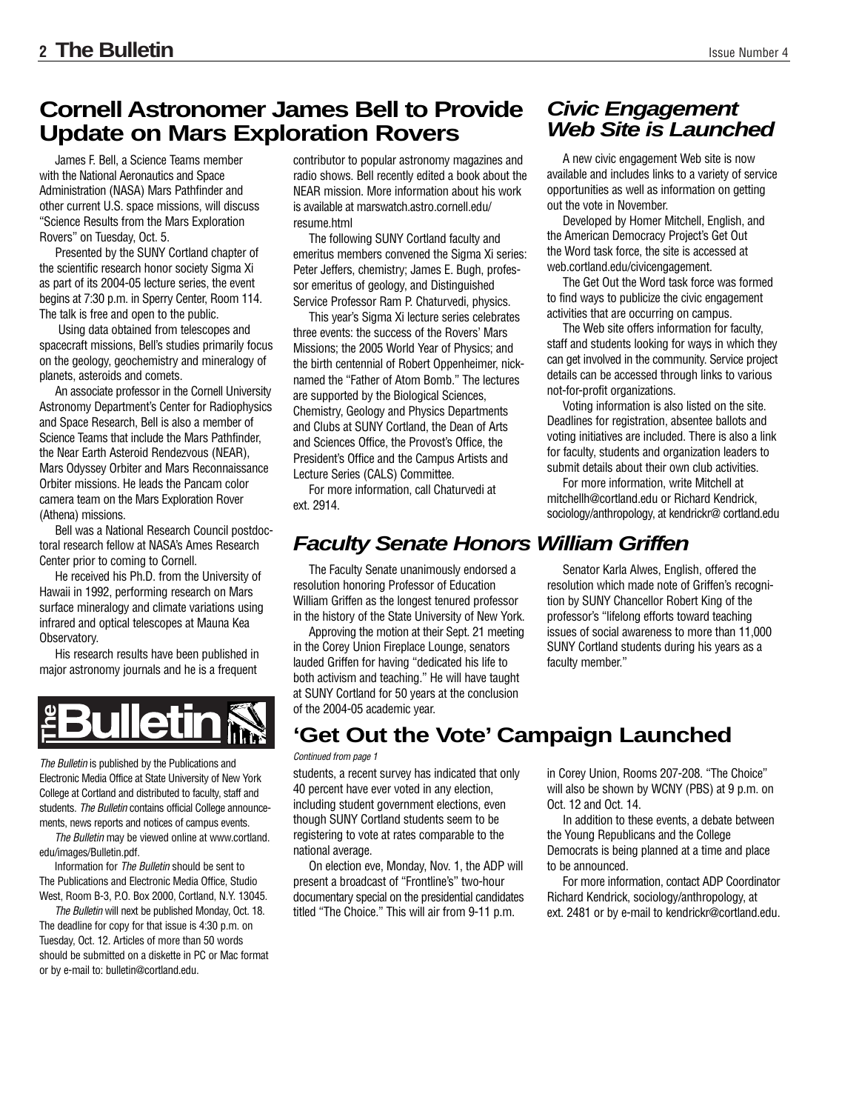# **Cornell Astronomer James Bell to Provide Update on Mars Exploration Rovers**

James F. Bell, a Science Teams member with the National Aeronautics and Space Administration (NASA) Mars Pathfinder and other current U.S. space missions, will discuss "Science Results from the Mars Exploration Rovers" on Tuesday, Oct. 5.

Presented by the SUNY Cortland chapter of the scientific research honor society Sigma Xi as part of its 2004-05 lecture series, the event begins at 7:30 p.m. in Sperry Center, Room 114. The talk is free and open to the public.

Using data obtained from telescopes and spacecraft missions, Bell's studies primarily focus on the geology, geochemistry and mineralogy of planets, asteroids and comets.

An associate professor in the Cornell University Astronomy Department's Center for Radiophysics and Space Research, Bell is also a member of Science Teams that include the Mars Pathfinder, the Near Earth Asteroid Rendezvous (NEAR), Mars Odyssey Orbiter and Mars Reconnaissance Orbiter missions. He leads the Pancam color camera team on the Mars Exploration Rover (Athena) missions.

Bell was a National Research Council postdoctoral research fellow at NASA's Ames Research Center prior to coming to Cornell.

He received his Ph.D. from the University of Hawaii in 1992, performing research on Mars surface mineralogy and climate variations using infrared and optical telescopes at Mauna Kea Observatory.

His research results have been published in major astronomy journals and he is a frequent



The Bulletin is published by the Publications and Electronic Media Office at State University of New York College at Cortland and distributed to faculty, staff and students. The Bulletin contains official College announcements, news reports and notices of campus events. **Profileration School Correlation**<br>
The Bulletin is published by the Publica<br>
Electronic Media Office at State Univers<br>
College at Cortland and distributed to fa<br>
students. The Bulletin contains official Cortland<br>
The Bull

The Bulletin may be viewed online at www.cortland. edu/images/Bulletin.pdf.

Information for The Bulletin should be sent to The Publications and Electronic Media Office, Studio West, Room B-3, P.O. Box 2000, Cortland, N.Y. 13045.

The Bulletin will next be published Monday, Oct. 18. The deadline for copy for that issue is 4:30 p.m. on Tuesday, Oct. 12. Articles of more than 50 words should be submitted on a diskette in PC or Mac format

contributor to popular astronomy magazines and radio shows. Bell recently edited a book about the NEAR mission. More information about his work is available at marswatch.astro.cornell.edu/ resume.html

The following SUNY Cortland faculty and emeritus members convened the Sigma Xi series: Peter Jeffers, chemistry; James E. Bugh, professor emeritus of geology, and Distinguished Service Professor Ram P. Chaturvedi, physics.

This year's Sigma Xi lecture series celebrates three events: the success of the Rovers' Mars Missions; the 2005 World Year of Physics; and the birth centennial of Robert Oppenheimer, nicknamed the "Father of Atom Bomb." The lectures are supported by the Biological Sciences, Chemistry, Geology and Physics Departments and Clubs at SUNY Cortland, the Dean of Arts and Sciences Office, the Provost's Office, the President's Office and the Campus Artists and Lecture Series (CALS) Committee.

For more information, call Chaturvedi at ext. 2914.

# **Faculty Senate Honors William Griffen**

The Faculty Senate unanimously endorsed a resolution honoring Professor of Education William Griffen as the longest tenured professor in the history of the State University of New York.

Approving the motion at their Sept. 21 meeting in the Corey Union Fireplace Lounge, senators lauded Griffen for having "dedicated his life to both activism and teaching." He will have taught at SUNY Cortland for 50 years at the conclusion of the 2004-05 academic year.

# **Civic Engagement Web Site is Launched**

A new civic engagement Web site is now available and includes links to a variety of service opportunities as well as information on getting out the vote in November.

Developed by Homer Mitchell, English, and the American Democracy Project's Get Out the Word task force, the site is accessed at web.cortland.edu/civicengagement.

The Get Out the Word task force was formed to find ways to publicize the civic engagement activities that are occurring on campus.

The Web site offers information for faculty, staff and students looking for ways in which they can get involved in the community. Service project details can be accessed through links to various not-for-profit organizations.

Voting information is also listed on the site. Deadlines for registration, absentee ballots and voting initiatives are included. There is also a link for faculty, students and organization leaders to submit details about their own club activities.

For more information, write Mitchell at mitchellh@cortland.edu or Richard Kendrick, sociology/anthropology, at kendrickr@ cortland.edu

Senator Karla Alwes, English, offered the resolution which made note of Griffen's recognition by SUNY Chancellor Robert King of the professor's "lifelong efforts toward teaching issues of social awareness to more than 11,000 SUNY Cortland students during his years as a faculty member."

# **'Get Out the Vote' Campaign Launched**

#### Continued from page 1

students, a recent survey has indicated that only 40 percent have ever voted in any election, including student government elections, even though SUNY Cortland students seem to be registering to vote at rates comparable to the national average.

On election eve, Monday, Nov. 1, the ADP will present a broadcast of "Frontline's" two-hour documentary special on the presidential candidates titled "The Choice." This will air from 9-11 p.m.

in Corey Union, Rooms 207-208. "The Choice" will also be shown by WCNY (PBS) at 9 p.m. on Oct. 12 and Oct. 14.

In addition to these events, a debate between the Young Republicans and the College Democrats is being planned at a time and place to be announced.

For more information, contact ADP Coordinator Richard Kendrick, sociology/anthropology, at ext. 2481 or by e-mail to kendrickr@cortland.edu.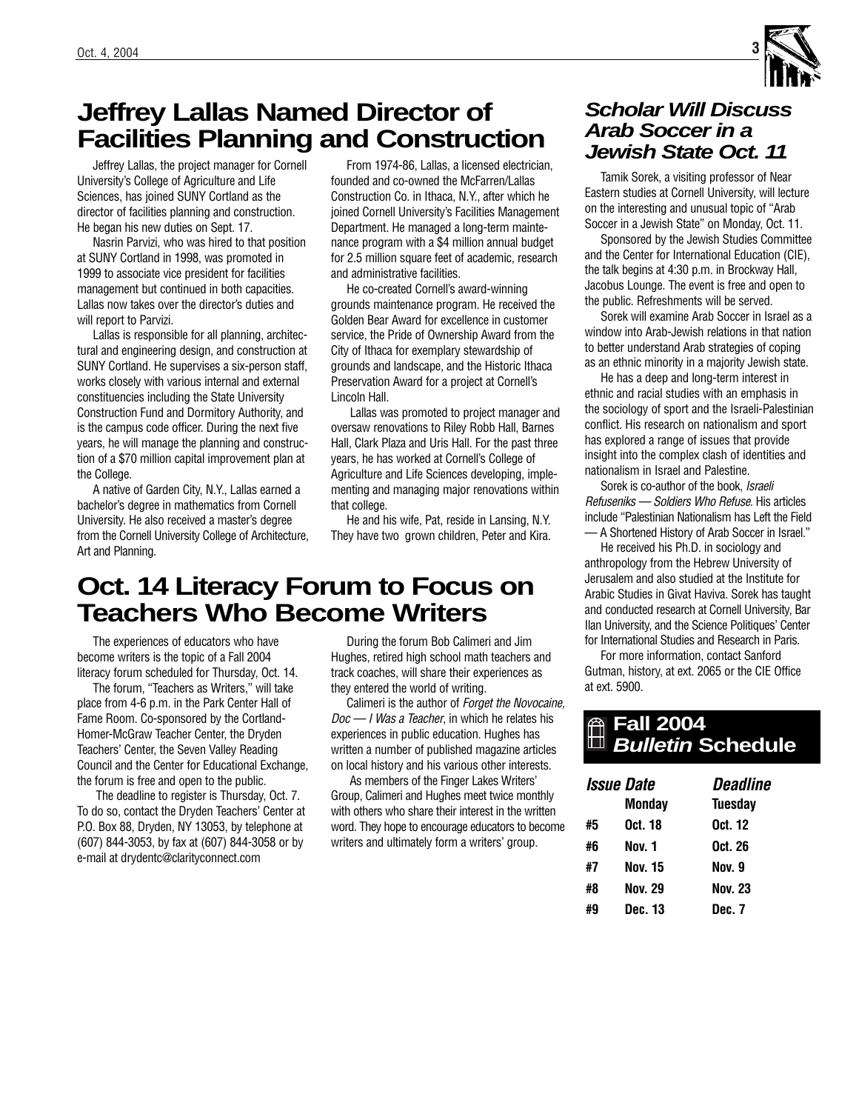# **Jeffrey Lallas Named Director of Facilities Planning and Construction**

Jeffrey Lallas, the project manager for Cornell University's College of Agriculture and Life Sciences, has joined SUNY Cortland as the director of facilities planning and construction. He began his new duties on Sept. 17.

Nasrin Parvizi, who was hired to that position at SUNY Cortland in 1998, was promoted in 1999 to associate vice president for facilities management but continued in both capacities. Lallas now takes over the director's duties and will report to Parvizi.

Lallas is responsible for all planning, architectural and engineering design, and construction at SUNY Cortland. He supervises a six-person staff, works closely with various internal and external constituencies including the State University Construction Fund and Dormitory Authority, and is the campus code officer. During the next five years, he will manage the planning and construction of a \$70 million capital improvement plan at the College.

A native of Garden City, N.Y., Lallas earned a bachelor's degree in mathematics from Cornell University. He also received a master's degree from the Cornell University College of Architecture, Art and Planning.

From 1974-86, Lallas, a licensed electrician, founded and co-owned the McFarren/Lallas Construction Co. in Ithaca, N.Y., after which he joined Cornell University's Facilities Management Department. He managed a long-term maintenance program with a \$4 million annual budget for 2.5 million square feet of academic, research and administrative facilities.

He co-created Cornell's award-winning grounds maintenance program. He received the Golden Bear Award for excellence in customer service, the Pride of Ownership Award from the City of Ithaca for exemplary stewardship of grounds and landscape, and the Historic Ithaca Preservation Award for a project at Cornell's Lincoln Hall.

Lallas was promoted to project manager and oversaw renovations to Riley Robb Hall, Barnes Hall, Clark Plaza and Uris Hall. For the past three years, he has worked at Cornell's College of Agriculture and Life Sciences developing, implementing and managing major renovations within that college.

He and his wife, Pat, reside in Lansing, N.Y. They have two grown children, Peter and Kira.

# **Oct. 14 Literacy Forum to Focus on Teachers Who Become Writers**

The experiences of educators who have become writers is the topic of a Fall 2004 literacy forum scheduled for Thursday, Oct. 14.

The forum, "Teachers as Writers," will take place from 4-6 p.m. in the Park Center Hall of Fame Room. Co-sponsored by the Cortland-Homer-McGraw Teacher Center, the Dryden Teachers' Center, the Seven Valley Reading Council and the Center for Educational Exchange, the forum is free and open to the public.

The deadline to register is Thursday, Oct. 7. To do so, contact the Dryden Teachers' Center at P.O. Box 88, Dryden, NY 13053, by telephone at (607) 844-3053, by fax at (607) 844-3058 or by e-mail at drydentc@clarityconnect.com

During the forum Bob Calimeri and Jim Hughes, retired high school math teachers and track coaches, will share their experiences as they entered the world of writing.

Calimeri is the author of Forget the Novocaine, Doc — I Was a Teacher, in which he relates his experiences in public education. Hughes has written a number of published magazine articles on local history and his various other interests.

As members of the Finger Lakes Writers' Group, Calimeri and Hughes meet twice monthly with others who share their interest in the written word. They hope to encourage educators to become writers and ultimately form a writers' group.

# **Scholar Will Discuss Arab Soccer in a Jewish State Oct. 11**

Tamik Sorek, a visiting professor of Near Eastern studies at Cornell University, will lecture on the interesting and unusual topic of "Arab Soccer in a Jewish State" on Monday, Oct. 11.

Sponsored by the Jewish Studies Committee and the Center for International Education (CIE), the talk begins at 4:30 p.m. in Brockway Hall, Jacobus Lounge. The event is free and open to the public. Refreshments will be served.

Sorek will examine Arab Soccer in Israel as a window into Arab-Jewish relations in that nation to better understand Arab strategies of coping as an ethnic minority in a majority Jewish state.

He has a deep and long-term interest in ethnic and racial studies with an emphasis in the sociology of sport and the Israeli-Palestinian conflict. His research on nationalism and sport has explored a range of issues that provide insight into the complex clash of identities and nationalism in Israel and Palestine.

Sorek is co-author of the book, Israeli Refuseniks — Soldiers Who Refuse. His articles include "Palestinian Nationalism has Left the Field — A Shortened History of Arab Soccer in Israel."

He received his Ph.D. in sociology and anthropology from the Hebrew University of Jerusalem and also studied at the Institute for Arabic Studies in Givat Haviva. Sorek has taught and conducted research at Cornell University, Bar Ilan University, and the Science Politiques' Center for International Studies and Research in Paris.

For more information, contact Sanford Gutman, history, at ext. 2065 or the CIE Office at ext. 5900.

# **Fall 2004 Bulletin Schedule**

| <i><b>Issue Date</b></i> |                | <b>Deadline</b> |  |
|--------------------------|----------------|-----------------|--|
|                          | Monday         | Tuesday         |  |
| #5                       | Oct. 18        | Oct. 12         |  |
| #6                       | Nov. 1         | Oct. 26         |  |
| #7                       | <b>Nov. 15</b> | Nov. 9          |  |
| #8                       | <b>Nov. 29</b> | <b>Nov. 23</b>  |  |
| #9                       | Dec. 13        | Dec. 7          |  |

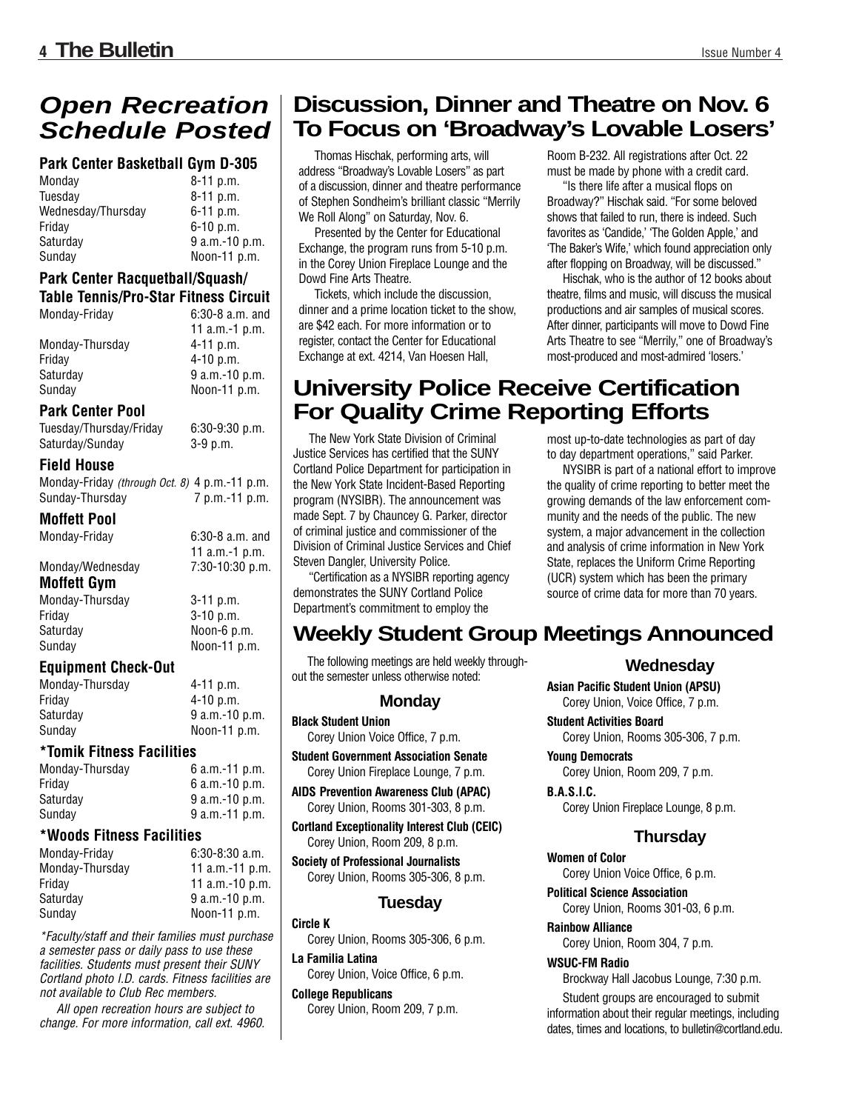# **Schedule Posted**

### **Park Center Basketball Gym D-305**

| $8-11$ p.m.    |
|----------------|
| $8-11$ p.m.    |
| $6-11$ p.m.    |
| $6-10$ p.m.    |
| 9 a.m.-10 p.m. |
| Noon-11 p.m.   |
|                |

#### **Park Center Racquetball/Squash/ Table Tennis/Pro-Star Fitness Circuit**

| Monday-Friday   | $6:30-8$ a.m. and |
|-----------------|-------------------|
|                 | 11 $a.m.-1 p.m.$  |
| Monday-Thursday | $4 - 11$ p.m.     |
| Fridav          | $4-10$ p.m.       |
| Saturday        | 9 a.m.-10 p.m.    |
| Sundav          | Noon-11 p.m.      |

#### **Park Center Pool**

Tuesday/Thursday/Friday 6:30-9:30 p.m. Saturday/Sunday 3-9 p.m.

#### **Field House**

Monday-Friday (through Oct. 8) 4 p.m.-11 p.m. Sunday-Thursday 7 p.m.-11 p.m.

#### **Moffett Pool**

Monday-Friday 6:30-8 a.m. and

| .                | 11 a.m.-1 $p.m.$  |
|------------------|-------------------|
| Monday/Wednesday | $7:30-10:30$ p.m. |
| .                |                   |

 $3-11$  p.m. 3-10 p.m. Noon-6 p.m. Noon-11 p.m.

#### **Moffett Gym**

| Monday-Thursday |  |
|-----------------|--|
| Fridav          |  |
| Saturdav        |  |
| Sunday          |  |

#### **Equipment Check-Out**

| Monday-Thursday | $4 - 11$ p.m.    |
|-----------------|------------------|
| Fridav          | $4 - 10$ p.m.    |
| Saturdav        | $9$ a.m.-10 p.m. |
| Sundav          | Noon-11 p.m.     |
|                 |                  |

### **\*Tomik Fitness Facilities**

| Monday-Thursday | 6 a.m.-11 p.m.   |
|-----------------|------------------|
| Fridav          | $6$ a.m.-10 p.m. |
| Saturdav        | 9 a.m.-10 p.m.   |
| Sundav          | 9 a.m.-11 p.m.   |

#### **\*Woods Fitness Facilities**

| $6:30-8:30$ a.m.  |
|-------------------|
| 11 $a.m.-11 p.m.$ |
| 11 $a.m.-10 p.m.$ |
| $9 a.m.-10 p.m.$  |
| Noon-11 p.m.      |
|                   |

\*Faculty/staff and their families must purchase a semester pass or daily pass to use these facilities. Students must present their SUNY Cortland photo I.D. cards. Fitness facilities are not available to Club Rec members.

All open recreation hours are subject to change. For more information, call ext. 4960.

# **Open Recreation** | Discussion, Dinner and Theatre on Nov. 6 **To Focus on 'Broadway's Lovable Losers'**

Thomas Hischak, performing arts, will address "Broadway's Lovable Losers" as part of a discussion, dinner and theatre performance of Stephen Sondheim's brilliant classic "Merrily We Roll Along" on Saturday, Nov. 6.

Presented by the Center for Educational Exchange, the program runs from 5-10 p.m. in the Corey Union Fireplace Lounge and the Dowd Fine Arts Theatre.

Tickets, which include the discussion, dinner and a prime location ticket to the show, are \$42 each. For more information or to register, contact the Center for Educational Exchange at ext. 4214, Van Hoesen Hall,

Room B-232. All registrations after Oct. 22 must be made by phone with a credit card.

"Is there life after a musical flops on Broadway?" Hischak said. "For some beloved shows that failed to run, there is indeed. Such favorites as 'Candide,' 'The Golden Apple,' and 'The Baker's Wife,' which found appreciation only after flopping on Broadway, will be discussed."

Hischak, who is the author of 12 books about theatre, films and music, will discuss the musical productions and air samples of musical scores. After dinner, participants will move to Dowd Fine Arts Theatre to see "Merrily," one of Broadway's most-produced and most-admired 'losers.'

# **University Police Receive Certification For Quality Crime Reporting Efforts**

The New York State Division of Criminal Justice Services has certified that the SUNY Cortland Police Department for participation in the New York State Incident-Based Reporting program (NYSIBR). The announcement was made Sept. 7 by Chauncey G. Parker, director of criminal justice and commissioner of the Division of Criminal Justice Services and Chief Steven Dangler, University Police.

"Certification as a NYSIBR reporting agency demonstrates the SUNY Cortland Police Department's commitment to employ the

#### most up-to-date technologies as part of day to day department operations," said Parker.

NYSIBR is part of a national effort to improve the quality of crime reporting to better meet the growing demands of the law enforcement community and the needs of the public. The new system, a major advancement in the collection and analysis of crime information in New York State, replaces the Uniform Crime Reporting (UCR) system which has been the primary source of crime data for more than 70 years.

# **Weekly Student Group Meetings Announced**

The following meetings are held weekly throughout the semester unless otherwise noted:

### **Monday**

#### **Black Student Union**

Corey Union Voice Office, 7 p.m.

**Student Government Association Senate** Corey Union Fireplace Lounge, 7 p.m.

**AIDS Prevention Awareness Club (APAC)** Corey Union, Rooms 301-303, 8 p.m.

**Cortland Exceptionality Interest Club (CEIC)** Corey Union, Room 209, 8 p.m.

**Society of Professional Journalists** Corey Union, Rooms 305-306, 8 p.m.

### **Tuesday**

**Circle K** Corey Union, Rooms 305-306, 6 p.m.

**La Familia Latina** Corey Union, Voice Office, 6 p.m.

**College Republicans**

Corey Union, Room 209, 7 p.m.

### **Wednesday**

**Asian Pacific Student Union (APSU)** Corey Union, Voice Office, 7 p.m.

**Student Activities Board**

Corey Union, Rooms 305-306, 7 p.m.

**Young Democrats** Corey Union, Room 209, 7 p.m.

**B.A.S.I.C.** 

Corey Union Fireplace Lounge, 8 p.m.

### **Thursday**

**Women of Color**  Corey Union Voice Office, 6 p.m.

**Political Science Association** Corey Union, Rooms 301-03, 6 p.m.

**Rainbow Alliance** Corey Union, Room 304, 7 p.m.

#### **WSUC-FM Radio**

Brockway Hall Jacobus Lounge, 7:30 p.m.

Student groups are encouraged to submit information about their regular meetings, including dates, times and locations, to bulletin@cortland.edu.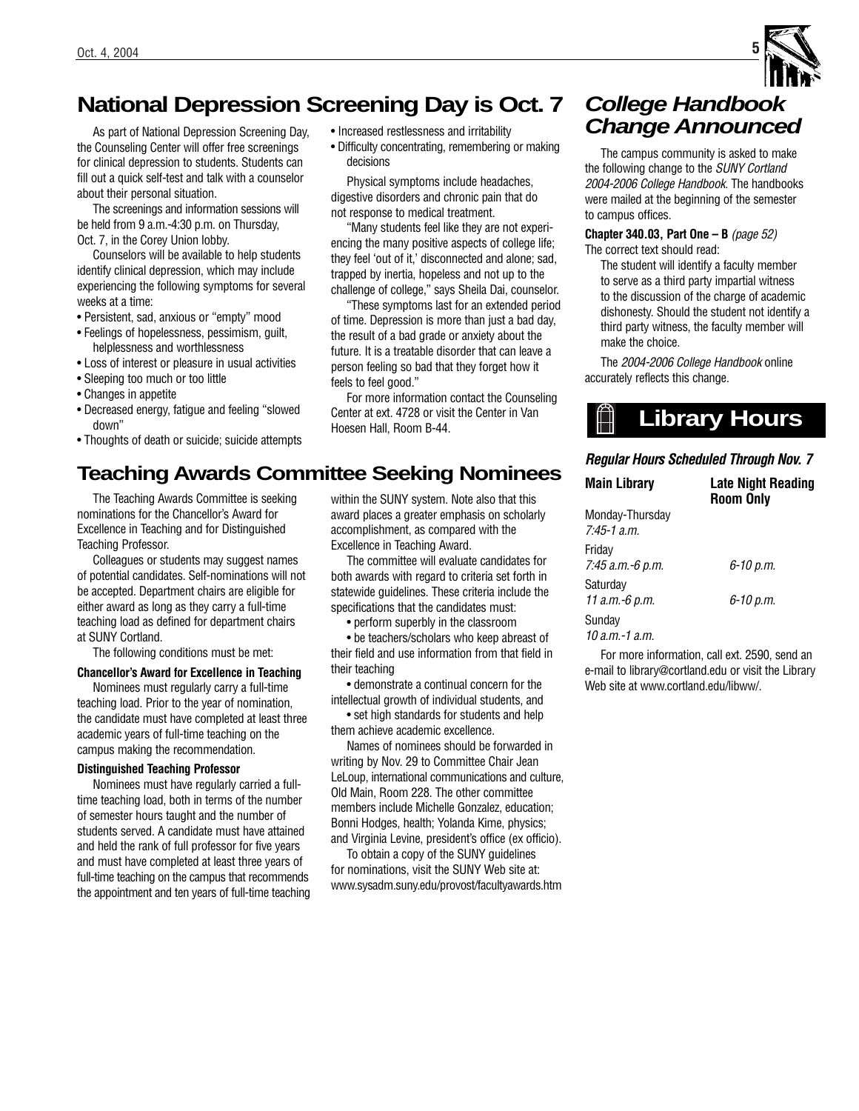# **National Depression Screening Day is Oct. 7**

decisions

feels to feel good."

As part of National Depression Screening Day, the Counseling Center will offer free screenings for clinical depression to students. Students can fill out a quick self-test and talk with a counselor about their personal situation.

The screenings and information sessions will be held from 9 a.m.-4:30 p.m. on Thursday, Oct. 7, in the Corey Union lobby.

Counselors will be available to help students identify clinical depression, which may include experiencing the following symptoms for several weeks at a time:

- Persistent, sad, anxious or "empty" mood
- Feelings of hopelessness, pessimism, guilt, helplessness and worthlessness
- Loss of interest or pleasure in usual activities
- Sleeping too much or too little
- Changes in appetite
- Decreased energy, fatigue and feeling "slowed down"
- Thoughts of death or suicide; suicide attempts

# **Teaching Awards Committee Seeking Nominees**

The Teaching Awards Committee is seeking nominations for the Chancellor's Award for Excellence in Teaching and for Distinguished Teaching Professor.

Colleagues or students may suggest names of potential candidates. Self-nominations will not be accepted. Department chairs are eligible for either award as long as they carry a full-time teaching load as defined for department chairs at SUNY Cortland.

The following conditions must be met:

### **Chancellor's Award for Excellence in Teaching**

Nominees must regularly carry a full-time teaching load. Prior to the year of nomination, the candidate must have completed at least three academic years of full-time teaching on the campus making the recommendation.

#### **Distinguished Teaching Professor**

Nominees must have regularly carried a fulltime teaching load, both in terms of the number of semester hours taught and the number of students served. A candidate must have attained and held the rank of full professor for five years and must have completed at least three years of full-time teaching on the campus that recommends the appointment and ten years of full-time teaching within the SUNY system. Note also that this award places a greater emphasis on scholarly accomplishment, as compared with the Excellence in Teaching Award.

• Increased restlessness and irritability

• Difficulty concentrating, remembering or making

Physical symptoms include headaches, digestive disorders and chronic pain that do not response to medical treatment.

"Many students feel like they are not experiencing the many positive aspects of college life; they feel 'out of it,' disconnected and alone; sad, trapped by inertia, hopeless and not up to the challenge of college," says Sheila Dai, counselor. "These symptoms last for an extended period of time. Depression is more than just a bad day, the result of a bad grade or anxiety about the future. It is a treatable disorder that can leave a person feeling so bad that they forget how it

For more information contact the Counseling Center at ext. 4728 or visit the Center in Van

The committee will evaluate candidates for both awards with regard to criteria set forth in statewide guidelines. These criteria include the specifications that the candidates must:

• perform superbly in the classroom

• be teachers/scholars who keep abreast of their field and use information from that field in their teaching

• demonstrate a continual concern for the intellectual growth of individual students, and

• set high standards for students and help them achieve academic excellence.

Names of nominees should be forwarded in writing by Nov. 29 to Committee Chair Jean LeLoup, international communications and culture, Old Main, Room 228. The other committee members include Michelle Gonzalez, education; Bonni Hodges, health; Yolanda Kime, physics; and Virginia Levine, president's office (ex officio).

To obtain a copy of the SUNY guidelines for nominations, visit the SUNY Web site at: www.sysadm.suny.edu/provost/facultyawards.htm

# **College Handbook Change Announced**

The campus community is asked to make the following change to the SUNY Cortland 2004-2006 College Handbook. The handbooks were mailed at the beginning of the semester to campus offices.

**Chapter 340.03, Part One – B** (page 52) The correct text should read:

The student will identify a faculty member to serve as a third party impartial witness to the discussion of the charge of academic dishonesty. Should the student not identify a third party witness, the faculty member will make the choice.

The 2004-2006 College Handbook online accurately reflects this change.

### *Regular Hours Scheduled Through Nov. 7*

| <b>Main Library</b>                | <b>Late Night Reading</b><br><b>Room Only</b> |
|------------------------------------|-----------------------------------------------|
| Monday-Thursday<br>$7.45 - 1$ a.m. |                                               |
| Friday<br>7:45 а.т.-6 р.т.         | 6-10 p.m.                                     |
| Saturday<br>11 а.т.-6 р.т.         | 6-10 p.m.                                     |
| Sunday<br>10 a.m.-1 a.m.           |                                               |

For more information, call ext. 2590, send an e-mail to library@cortland.edu or visit the Library Web site at www.cortland.edu/libww/.



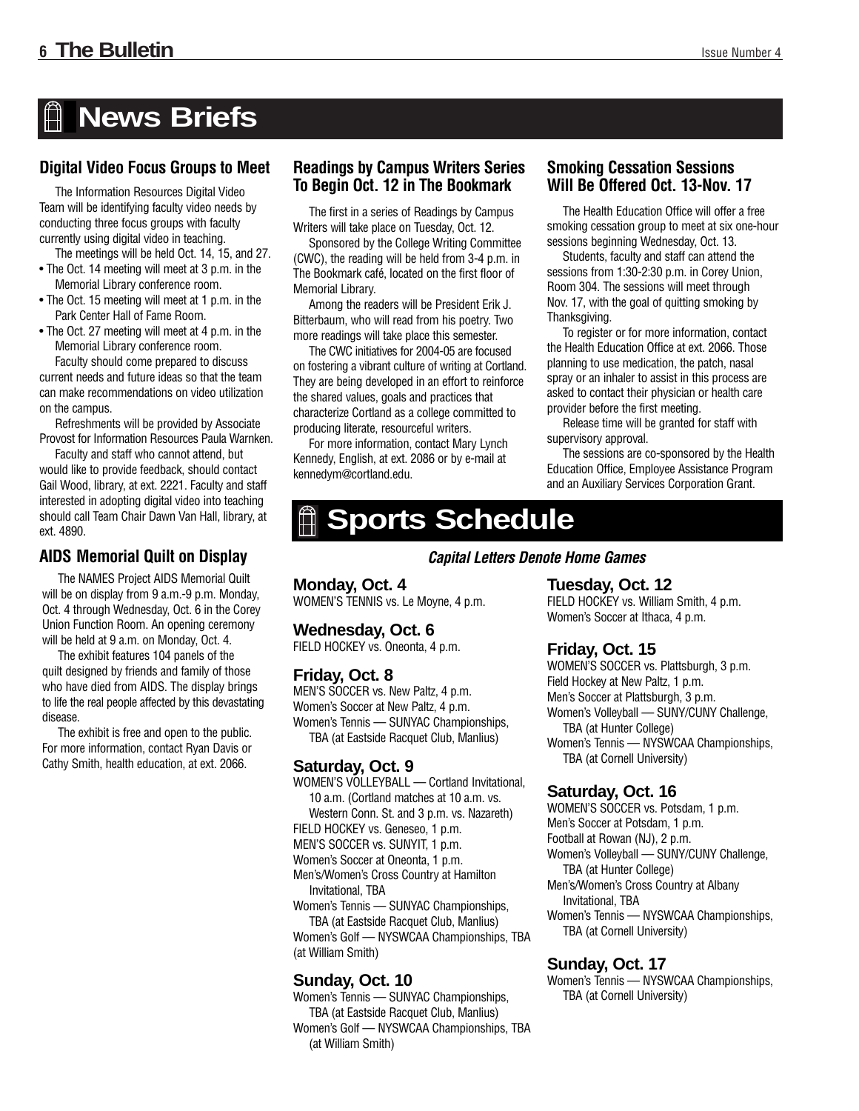# **News Briefs**

### **Digital Video Focus Groups to Meet**

The Information Resources Digital Video Team will be identifying faculty video needs by conducting three focus groups with faculty currently using digital video in teaching.

- The meetings will be held Oct. 14, 15, and 27. • The Oct. 14 meeting will meet at 3 p.m. in the Memorial Library conference room.
- The Oct. 15 meeting will meet at 1 p.m. in the Park Center Hall of Fame Room.
- The Oct. 27 meeting will meet at 4 p.m. in the Memorial Library conference room. Faculty should come prepared to discuss current needs and future ideas so that the team can make recommendations on video utilization

on the campus. Refreshments will be provided by Associate Provost for Information Resources Paula Warnken.

Faculty and staff who cannot attend, but would like to provide feedback, should contact Gail Wood, library, at ext. 2221. Faculty and staff interested in adopting digital video into teaching should call Team Chair Dawn Van Hall, library, at ext. 4890.

### **AIDS Memorial Quilt on Display**

The NAMES Project AIDS Memorial Quilt will be on display from 9 a.m.-9 p.m. Monday, Oct. 4 through Wednesday, Oct. 6 in the Corey Union Function Room. An opening ceremony will be held at 9 a.m. on Monday, Oct. 4.

The exhibit features 104 panels of the quilt designed by friends and family of those who have died from AIDS. The display brings to life the real people affected by this devastating disease.

The exhibit is free and open to the public. For more information, contact Ryan Davis or Cathy Smith, health education, at ext. 2066.

### **Readings by Campus Writers Series To Begin Oct. 12 in The Bookmark**

The first in a series of Readings by Campus Writers will take place on Tuesday, Oct. 12.

Sponsored by the College Writing Committee (CWC), the reading will be held from 3-4 p.m. in The Bookmark café, located on the first floor of Memorial Library.

Among the readers will be President Erik J. Bitterbaum, who will read from his poetry. Two more readings will take place this semester.

The CWC initiatives for 2004-05 are focused on fostering a vibrant culture of writing at Cortland. They are being developed in an effort to reinforce the shared values, goals and practices that characterize Cortland as a college committed to producing literate, resourceful writers.

For more information, contact Mary Lynch Kennedy, English, at ext. 2086 or by e-mail at kennedym@cortland.edu.

### **Smoking Cessation Sessions Will Be Offered Oct. 13-Nov. 17**

The Health Education Office will offer a free smoking cessation group to meet at six one-hour sessions beginning Wednesday, Oct. 13.

Students, faculty and staff can attend the sessions from 1:30-2:30 p.m. in Corey Union, Room 304. The sessions will meet through Nov. 17, with the goal of quitting smoking by Thanksgiving.

To register or for more information, contact the Health Education Office at ext. 2066. Those planning to use medication, the patch, nasal spray or an inhaler to assist in this process are asked to contact their physician or health care provider before the first meeting.

Release time will be granted for staff with supervisory approval.

The sessions are co-sponsored by the Health Education Office, Employee Assistance Program and an Auxiliary Services Corporation Grant.

# **Sports Schedule**

*Capital Letters Denote Home Games*

**Monday, Oct. 4** WOMEN'S TENNIS vs. Le Moyne, 4 p.m.

**Wednesday, Oct. 6** FIELD HOCKEY vs. Oneonta, 4 p.m.

### **Friday, Oct. 8**

MEN'S SOCCER vs. New Paltz, 4 p.m. Women's Soccer at New Paltz, 4 p.m. Women's Tennis — SUNYAC Championships, TBA (at Eastside Racquet Club, Manlius)

### **Saturday, Oct. 9**

WOMEN'S VOLLEYBALL — Cortland Invitational, 10 a.m. (Cortland matches at 10 a.m. vs. Western Conn. St. and 3 p.m. vs. Nazareth) FIELD HOCKEY vs. Geneseo, 1 p.m. MEN'S SOCCER vs. SUNYIT, 1 p.m. Women's Soccer at Oneonta, 1 p.m. Men's/Women's Cross Country at Hamilton Invitational, TBA Women's Tennis — SUNYAC Championships, TBA (at Eastside Racquet Club, Manlius) Women's Golf — NYSWCAA Championships, TBA

(at William Smith)

### **Sunday, Oct. 10**

Women's Tennis — SUNYAC Championships, TBA (at Eastside Racquet Club, Manlius) Women's Golf — NYSWCAA Championships, TBA (at William Smith)

**Tuesday, Oct. 12**

FIELD HOCKEY vs. William Smith, 4 p.m. Women's Soccer at Ithaca, 4 p.m.

### **Friday, Oct. 15**

WOMEN'S SOCCER vs. Plattsburgh, 3 p.m. Field Hockey at New Paltz, 1 p.m. Men's Soccer at Plattsburgh, 3 p.m. Women's Volleyball — SUNY/CUNY Challenge, TBA (at Hunter College) Women's Tennis — NYSWCAA Championships, TBA (at Cornell University)

### **Saturday, Oct. 16**

WOMEN'S SOCCER vs. Potsdam, 1 p.m. Men's Soccer at Potsdam, 1 p.m. Football at Rowan (NJ), 2 p.m. Women's Volleyball — SUNY/CUNY Challenge, TBA (at Hunter College) Men's/Women's Cross Country at Albany Invitational, TBA Women's Tennis — NYSWCAA Championships, TBA (at Cornell University)

### **Sunday, Oct. 17**

Women's Tennis — NYSWCAA Championships, TBA (at Cornell University)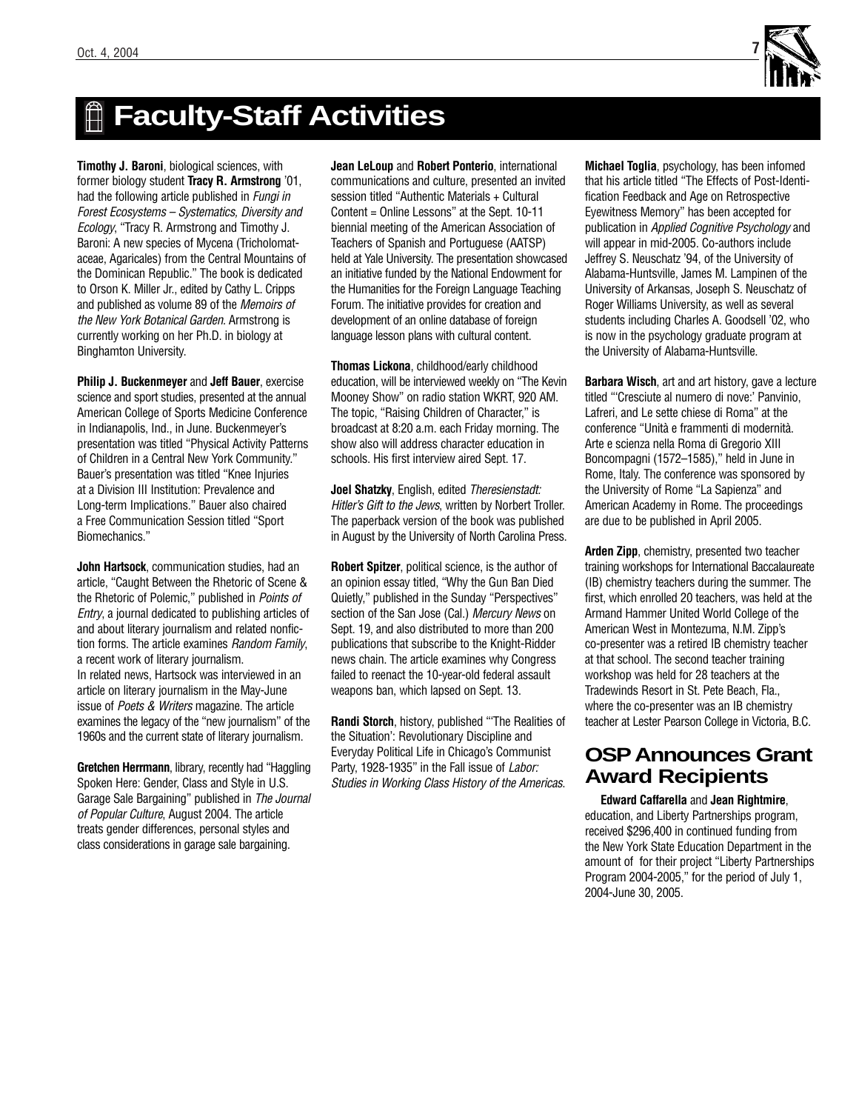

# **Faculty-Staff Activities**

**Timothy J. Baroni**, biological sciences, with former biology student **Tracy R. Armstrong** '01, had the following article published in Fungi in Forest Ecosystems – Systematics, Diversity and Ecology, "Tracy R. Armstrong and Timothy J. Baroni: A new species of Mycena (Tricholomataceae, Agaricales) from the Central Mountains of the Dominican Republic." The book is dedicated to Orson K. Miller Jr., edited by Cathy L. Cripps and published as volume 89 of the Memoirs of the New York Botanical Garden. Armstrong is currently working on her Ph.D. in biology at Binghamton University.

**Philip J. Buckenmeyer** and **Jeff Bauer**, exercise science and sport studies, presented at the annual American College of Sports Medicine Conference in Indianapolis, Ind., in June. Buckenmeyer's presentation was titled "Physical Activity Patterns of Children in a Central New York Community." Bauer's presentation was titled "Knee Injuries at a Division III Institution: Prevalence and Long-term Implications." Bauer also chaired a Free Communication Session titled "Sport Biomechanics."

**John Hartsock**, communication studies, had an article, "Caught Between the Rhetoric of Scene & the Rhetoric of Polemic," published in Points of Entry, a journal dedicated to publishing articles of and about literary journalism and related nonfiction forms. The article examines Random Family, a recent work of literary journalism. In related news, Hartsock was interviewed in an article on literary journalism in the May-June issue of Poets & Writers magazine. The article examines the legacy of the "new journalism" of the 1960s and the current state of literary journalism.

**Gretchen Herrmann**, library, recently had "Haggling Spoken Here: Gender, Class and Style in U.S. Garage Sale Bargaining" published in The Journal of Popular Culture, August 2004. The article treats gender differences, personal styles and class considerations in garage sale bargaining.

**Jean LeLoup** and **Robert Ponterio**, international communications and culture, presented an invited session titled "Authentic Materials + Cultural Content = Online Lessons" at the Sept. 10-11 biennial meeting of the American Association of Teachers of Spanish and Portuguese (AATSP) held at Yale University. The presentation showcased an initiative funded by the National Endowment for the Humanities for the Foreign Language Teaching Forum. The initiative provides for creation and development of an online database of foreign language lesson plans with cultural content.

**Thomas Lickona**, childhood/early childhood education, will be interviewed weekly on "The Kevin Mooney Show" on radio station WKRT, 920 AM. The topic, "Raising Children of Character," is broadcast at 8:20 a.m. each Friday morning. The show also will address character education in schools. His first interview aired Sept. 17.

**Joel Shatzky**, English, edited Theresienstadt: Hitler's Gift to the Jews, written by Norbert Troller. The paperback version of the book was published in August by the University of North Carolina Press.

**Robert Spitzer**, political science, is the author of an opinion essay titled, "Why the Gun Ban Died Quietly," published in the Sunday "Perspectives" section of the San Jose (Cal.) Mercury News on Sept. 19, and also distributed to more than 200 publications that subscribe to the Knight-Ridder news chain. The article examines why Congress failed to reenact the 10-year-old federal assault weapons ban, which lapsed on Sept. 13.

**Randi Storch**, history, published "'The Realities of the Situation': Revolutionary Discipline and Everyday Political Life in Chicago's Communist Party, 1928-1935" in the Fall issue of Labor: Studies in Working Class History of the Americas.

**Michael Toglia**, psychology, has been infomed that his article titled "The Effects of Post-Identification Feedback and Age on Retrospective Eyewitness Memory" has been accepted for publication in Applied Cognitive Psychology and will appear in mid-2005. Co-authors include Jeffrey S. Neuschatz '94, of the University of Alabama-Huntsville, James M. Lampinen of the University of Arkansas, Joseph S. Neuschatz of Roger Williams University, as well as several students including Charles A. Goodsell '02, who is now in the psychology graduate program at the University of Alabama-Huntsville.

**Barbara Wisch**, art and art history, gave a lecture titled "'Cresciute al numero di nove:' Panvinio, Lafreri, and Le sette chiese di Roma" at the conference "Unità e frammenti di modernità. Arte e scienza nella Roma di Gregorio XIII Boncompagni (1572–1585)," held in June in Rome, Italy. The conference was sponsored by the University of Rome "La Sapienza" and American Academy in Rome. The proceedings are due to be published in April 2005.

**Arden Zipp**, chemistry, presented two teacher training workshops for International Baccalaureate (IB) chemistry teachers during the summer. The first, which enrolled 20 teachers, was held at the Armand Hammer United World College of the American West in Montezuma, N.M. Zipp's co-presenter was a retired IB chemistry teacher at that school. The second teacher training workshop was held for 28 teachers at the Tradewinds Resort in St. Pete Beach, Fla., where the co-presenter was an IB chemistry teacher at Lester Pearson College in Victoria, B.C.

# **OSPAnnounces Grant Award Recipients**

**Edward Caffarella** and **Jean Rightmire**, education, and Liberty Partnerships program, received \$296,400 in continued funding from the New York State Education Department in the amount of for their project "Liberty Partnerships Program 2004-2005," for the period of July 1, 2004-June 30, 2005.